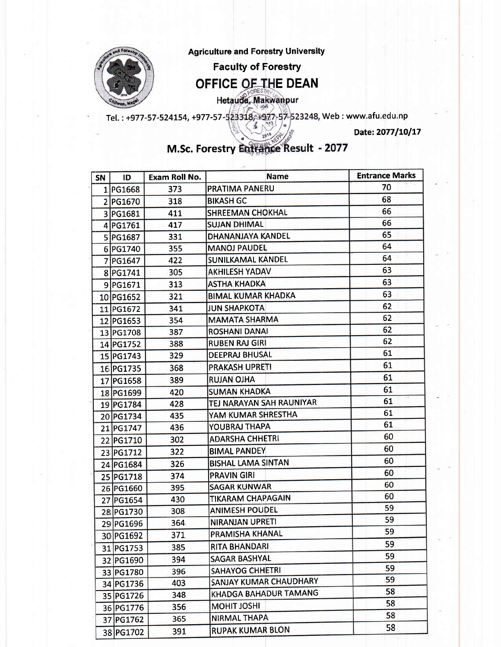

Agriculture and Forestry University

Faculty of Forestry

## OFFICE OF THE DEAN

Hetauda, Makwanpur

Tel. : +977-57-524154, +977-57-523318, +977-57-523248, Web : www.afu.edu.np ś

Date: 2077/10/17

## **M.Sc. Forestry Entrance Result - 2077**

| SN | ID        | Exam Roll No. | Name                      | <b>Entrance Marks</b> |
|----|-----------|---------------|---------------------------|-----------------------|
|    | 1 PG1668  | 373           | <b>PRATIMA PANERU</b>     | 70                    |
|    | 2 PG1670  | 318           | <b>BIKASH GC</b>          | 68                    |
|    | 3 PG1681  | 411           | <b>SHREEMAN CHOKHAL</b>   | 66                    |
|    | 4 PG1761  | 417           | <b>SUJAN DHIMAL</b>       | 66                    |
|    | 5 PG1687  | 331           | DHANANJAYA KANDEL         | 65                    |
|    | 6 PG1740  | 355           | <b>MANOJ PAUDEL</b>       | 64                    |
|    | 7 PG1647  | 422           | SUNILKAMAL KANDEL         | 64                    |
|    | 8 PG1741  | 305           | <b>AKHILESH YADAV</b>     | 63                    |
|    | 9 PG1671  | 313           | <b>ASTHA KHADKA</b>       | 63                    |
|    | 10 PG1652 | 321           | <b>BIMAL KUMAR KHADKA</b> | 63                    |
|    | 11 PG1672 | 341           | <b>JUN SHAPKOTA</b>       | 62                    |
|    | 12 PG1653 | 354           | <b>MAMATA SHARMA</b>      | 62                    |
|    | 13 PG1708 | 387           | <b>ROSHANI DANAI</b>      | 62                    |
|    | 14 PG1752 | 388           | <b>RUBEN RAJ GIRI</b>     | 62                    |
|    | 15 PG1743 | 329           | <b>DEEPRAJ BHUSAL</b>     | 61                    |
|    | 16 PG1735 | 368           | <b>PRAKASH UPRETI</b>     | 61                    |
|    | 17 PG1658 | 389           | <b>RUJAN OJHA</b>         | 61                    |
|    | 18 PG1699 | 420           | <b>SUMAN KHADKA</b>       | 61                    |
|    | 19 PG1784 | 428           | TEJ NARAYAN SAH RAUNIYAR  | 61                    |
|    | 20 PG1734 | 435           | YAM KUMAR SHRESTHA        | 61                    |
|    | 21 PG1747 | 436           | YOUBRAJ THAPA             | 61                    |
|    | 22 PG1710 | 302           | <b>ADARSHA CHHETRI</b>    | 60                    |
|    | 23 PG1712 | 322           | <b>BIMAL PANDEY</b>       | 60                    |
|    | 24 PG1684 | 326           | <b>BISHAL LAMA SINTAN</b> | 60                    |
|    | 25 PG1718 | 374           | <b>PRAVIN GIRI</b>        | 60                    |
|    | 26 PG1660 | 395           | <b>SAGAR KUNWAR</b>       | 60                    |
|    | 27 PG1654 | 430           | <b>TIKARAM CHAPAGAIN</b>  | 60                    |
|    | 28 PG1730 | 308           | <b>ANIMESH POUDEL</b>     | 59                    |
|    | 29 PG1696 | 364           | <b>NIRANJAN UPRETI</b>    | 59                    |
|    | 30 PG1692 | 371           | PRAMISHA KHANAL           | 59                    |
|    | 31 PG1753 | 385           | RITA BHANDARI             | 59                    |
|    | 32 PG1690 | 394           | <b>SAGAR BASHYAL</b>      | 59                    |
|    | 33 PG1780 | 396           | SAHAYOG CHHETRI           | 59                    |
|    | 34 PG1736 | 403           | SANJAY KUMAR CHAUDHARY    | 59                    |
|    | 35 PG1726 | 348           | KHADGA BAHADUR TAMANG     | 58                    |
|    | 36 PG1776 | 356           | <b>MOHIT JOSHI</b>        | 58                    |
|    | 37 PG1762 | 365           | <b>NIRMAL THAPA</b>       | 58                    |
|    | 38 PG1702 | 391           | <b>RUPAK KUMAR BLON</b>   | 58                    |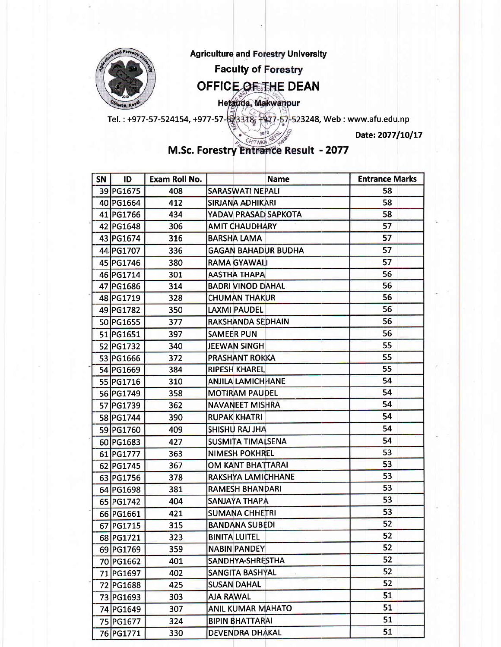

Date: 2077/10/17

CHITWAN. NF M.Sc. Forestry Entrance Result - 2077

| SN | ID        | Exam Roll No. | <b>Name</b>                | <b>Entrance Marks</b> |
|----|-----------|---------------|----------------------------|-----------------------|
|    | 39 PG1675 | 408           | <b>SARASWATI NEPALI</b>    | 58                    |
|    | 40 PG1664 | 412           | <b>SIRJANA ADHIKARI</b>    | 58                    |
|    | 41 PG1766 | 434           | YADAV PRASAD SAPKOTA       | 58                    |
|    | 42 PG1648 | 306           | <b>AMIT CHAUDHARY</b>      | 57                    |
|    | 43 PG1674 | 316           | <b>BARSHA LAMA</b>         | 57                    |
|    | 44 PG1707 | 336           | <b>GAGAN BAHADUR BUDHA</b> | 57                    |
|    | 45 PG1746 | 380           | <b>RAMA GYAWALI</b>        | 57                    |
|    | 46 PG1714 | 301           | <b>AASTHA THAPA</b>        | 56                    |
|    | 47 PG1686 | 314           | <b>BADRI VINOD DAHAL</b>   | 56                    |
|    | 48 PG1719 | 328           | <b>CHUMAN THAKUR</b>       | 56                    |
|    | 49 PG1782 | 350           | <b>LAXMI PAUDEL</b>        | 56                    |
|    | 50 PG1655 | 377           | RAKSHANDA SEDHAIN          | 56                    |
|    | 51 PG1651 | 397           | <b>SAMEER PUN</b>          | 56                    |
|    | 52 PG1732 | 340           | <b>JEEWAN SINGH</b>        | 55                    |
|    | 53 PG1666 | 372           | <b>PRASHANT ROKKA</b>      | 55                    |
|    | 54 PG1669 | 384           | <b>RIPESH KHAREL</b>       | 55                    |
|    | 55 PG1716 | 310           | <b>ANJILA LAMICHHANE</b>   | 54                    |
|    | 56 PG1749 | 358           | <b>MOTIRAM PAUDEL</b>      | 54                    |
|    | 57 PG1739 | 362           | <b>NAVANEET MISHRA</b>     | 54                    |
|    | 58 PG1744 | 390           | <b>RUPAK KHATRI</b>        | 54                    |
|    | 59 PG1760 | 409           | <b>SHISHU RAJ JHA</b>      | 54                    |
|    | 60 PG1683 | 427           | <b>SUSMITA TIMALSENA</b>   | 54                    |
|    | 61 PG1777 | 363           | <b>NIMESH POKHREL</b>      | 53                    |
|    | 62 PG1745 | 367           | <b>OM KANT BHATTARAI</b>   | 53                    |
|    | 63 PG1756 | 378           | RAKSHYA LAMICHHANE         | 53                    |
|    | 64 PG1698 | 381           | <b>RAMESH BHANDARI</b>     | 53                    |
|    | 65 PG1742 | 404           | <b>SANJAYA THAPA</b>       | 53                    |
|    | 66 PG1661 | 421           | <b>SUMANA CHHETRI</b>      | 53                    |
|    | 67 PG1715 | 315           | <b>BANDANA SUBEDI</b>      | 52                    |
|    | 68 PG1721 | 323           | <b>BINITA LUITEL</b>       | 52                    |
|    | 69 PG1769 | 359           | <b>NABIN PANDEY</b>        | 52                    |
|    | 70 PG1662 | 401           | SANDHYA-SHRESTHA           | 52                    |
|    | 71 PG1697 | 402           | <b>SANGITA BASHYAL</b>     | 52                    |
|    | 72 PG1688 | 425           | <b>SUSAN DAHAL</b>         | 52                    |
|    | 73 PG1693 | 303           | <b>AJA RAWAL</b>           | 51                    |
|    | 74 PG1649 | 307           | <b>ANIL KUMAR MAHATO</b>   | 51                    |
|    | 75 PG1677 | 324           | <b>BIPIN BHATTARAI</b>     | 51                    |
|    | 76 PG1771 | 330           | <b>DEVENDRA DHAKAL</b>     | 51                    |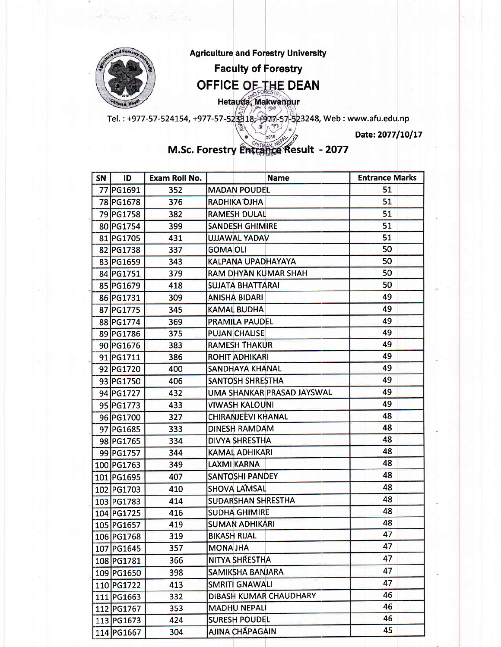

M.Sc. Forestry Entrance Result - 2077

| <b>SN</b> | ID         | Exam Roll No. | <b>Name</b>                | <b>Entrance Marks</b> |
|-----------|------------|---------------|----------------------------|-----------------------|
|           | 77 PG1691  | 352           | <b>MADAN POUDEL</b>        | 51                    |
|           | 78 PG1678  | 376           | <b>RADHIKA OJHA</b>        | 51                    |
|           | 79 PG1758  | 382           | <b>RAMESH DULAL</b>        | 51                    |
|           | 80 PG1754  | 399           | <b>SANDESH GHIMIRE</b>     | 51                    |
|           | 81 PG1705  | 431           | <b>UJJAWAL YADAV</b>       | 51                    |
|           | 82 PG1738  | 337           | <b>GOMA OLI</b>            | 50                    |
|           | 83 PG1659  | 343           | KALPANA UPADHAYAYA         | 50                    |
|           | 84 PG1751  | 379           | RAM DHYAN KUMAR SHAH       | 50                    |
|           | 85 PG1679  | 418           | <b>SUJATA BHATTARAI</b>    | 50                    |
|           | 86 PG1731  | 309           | <b>ANISHA BIDARI</b>       | 49                    |
|           | 87 PG1775  | 345           | <b>KAMAL BUDHA</b>         | 49                    |
|           | 88 PG1774  | 369           | <b>PRAMILA PAUDEL</b>      | 49                    |
|           | 89 PG1786  | 375           | <b>PUJAN CHALISE</b>       | 49                    |
|           | 90 PG1676  | 383           | <b>RAMESH THAKUR</b>       | 49                    |
|           | 91 PG1711  | 386           | <b>ROHIT ADHIKARI</b>      | 49                    |
|           | 92 PG1720  | 400           | <b>SANDHAYA KHANAL</b>     | 49                    |
|           | 93 PG1750  | 406           | <b>SANTOSH SHRESTHA</b>    | 49                    |
|           | 94 PG1727  | 432           | UMA SHANKAR PRASAD JAYSWAL | 49                    |
|           | 95 PG1773  | 433           | <b>VIWASH KALOUNI</b>      | 49                    |
|           | 96 PG1700  | 327           | <b>CHIRANJEEVI KHANAL</b>  | 48                    |
|           | 97 PG1685  | 333           | DINESH RAMDAM              | 48                    |
|           | 98 PG1765  | 334           | <b>DIVYA SHRESTHA</b>      | 48                    |
|           | 99 PG1757  | 344           | KAMAL ADHIKARI             | 48                    |
|           | 100 PG1763 | 349           | <b>LAXMI KARNA</b>         | 48                    |
|           | 101 PG1695 | 407           | <b>SANTOSHI PANDEY</b>     | 48                    |
|           | 102 PG1703 | 410           | <b>SHOVA LAMSAL</b>        | 48                    |
|           | 103 PG1783 | 414           | <b>SUDARSHAN SHRESTHA</b>  | 48                    |
|           | 104 PG1725 | 416           | <b>SUDHA GHIMIRE</b>       | 48                    |
|           | 105 PG1657 | 419           | <b>SUMAN ADHIKARI</b>      | 48                    |
|           | 106 PG1768 | 319           | <b>BIKASH RIJAL</b>        | 47                    |
|           | 107 PG1645 | 357           | <b>MONA JHA</b>            | 47                    |
|           | 108 PG1781 | 366           | NITYA SHRESTHA             | 47                    |
|           | 109 PG1650 | 398           | SAMIKSHA BANJARA           | 47                    |
|           | 110 PG1722 | 413           | <b>SMRITI GNAWALI</b>      | 47                    |
|           | 111 PG1663 | 332           | DIBASH KUMAR CHAUDHARY     | 46                    |
|           | 112 PG1767 | 353           | <b>MADHU NEPALI</b>        | 46                    |
|           | 113 PG1673 | 424           | <b>SURESH POUDEL</b>       | 46                    |
|           | 114 PG1667 | 304           | AJINA CHẮPAGAIN            | 45                    |